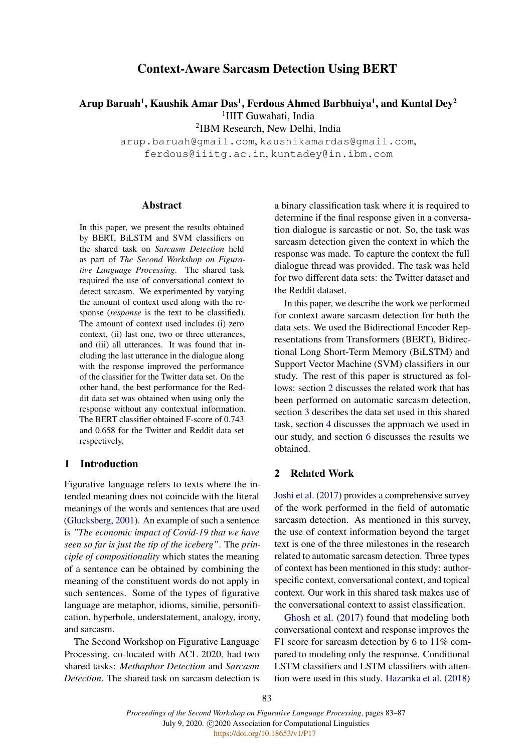# Context-Aware Sarcasm Detection Using BERT

Arup Baruah<sup>1</sup>, Kaushik Amar Das<sup>1</sup>, Ferdous Ahmed Barbhuiya<sup>1</sup>, and Kuntal Dey<sup>2</sup>

<sup>1</sup>IIIT Guwahati, India

2 IBM Research, New Delhi, India

arup.baruah@gmail.com, kaushikamardas@gmail.com, ferdous@iiitg.ac.in, kuntadey@in.ibm.com

### **Abstract**

In this paper, we present the results obtained by BERT, BiLSTM and SVM classifiers on the shared task on *Sarcasm Detection* held as part of *The Second Workshop on Figurative Language Processing*. The shared task required the use of conversational context to detect sarcasm. We experimented by varying the amount of context used along with the response (*response* is the text to be classified). The amount of context used includes (i) zero context, (ii) last one, two or three utterances, and (iii) all utterances. It was found that including the last utterance in the dialogue along with the response improved the performance of the classifier for the Twitter data set. On the other hand, the best performance for the Reddit data set was obtained when using only the response without any contextual information. The BERT classifier obtained F-score of 0.743 and 0.658 for the Twitter and Reddit data set respectively.

### 1 Introduction

Figurative language refers to texts where the intended meaning does not coincide with the literal meanings of the words and sentences that are used [\(Glucksberg,](#page-4-0) [2001\)](#page-4-0). An example of such a sentence is *"The economic impact of Covid-19 that we have seen so far is just the tip of the iceberg"*. The *principle of compositionality* which states the meaning of a sentence can be obtained by combining the meaning of the constituent words do not apply in such sentences. Some of the types of figurative language are metaphor, idioms, similie, personification, hyperbole, understatement, analogy, irony, and sarcasm.

The Second Workshop on Figurative Language Processing, co-located with ACL 2020, had two shared tasks: *Methaphor Detection* and *Sarcasm Detection*. The shared task on sarcasm detection is a binary classification task where it is required to determine if the final response given in a conversation dialogue is sarcastic or not. So, the task was sarcasm detection given the context in which the response was made. To capture the context the full dialogue thread was provided. The task was held for two different data sets: the Twitter dataset and the Reddit dataset.

In this paper, we describe the work we performed for context aware sarcasm detection for both the data sets. We used the Bidirectional Encoder Representations from Transformers (BERT), Bidirectional Long Short-Term Memory (BiLSTM) and Support Vector Machine (SVM) classifiers in our study. The rest of this paper is structured as follows: section [2](#page-0-0) discusses the related work that has been performed on automatic sarcasm detection, section [3](#page-1-0) describes the data set used in this shared task, section [4](#page-1-1) discusses the approach we used in our study, and section [6](#page-2-0) discusses the results we obtained.

### <span id="page-0-0"></span>2 Related Work

[Joshi et al.](#page-4-1) [\(2017\)](#page-4-1) provides a comprehensive survey of the work performed in the field of automatic sarcasm detection. As mentioned in this survey, the use of context information beyond the target text is one of the three milestones in the research related to automatic sarcasm detection. Three types of context has been mentioned in this study: authorspecific context, conversational context, and topical context. Our work in this shared task makes use of the conversational context to assist classification.

[Ghosh et al.](#page-4-2) [\(2017\)](#page-4-2) found that modeling both conversational context and response improves the F1 score for sarcasm detection by 6 to 11% compared to modeling only the response. Conditional LSTM classifiers and LSTM classifiers with attention were used in this study. [Hazarika et al.](#page-4-3) [\(2018\)](#page-4-3)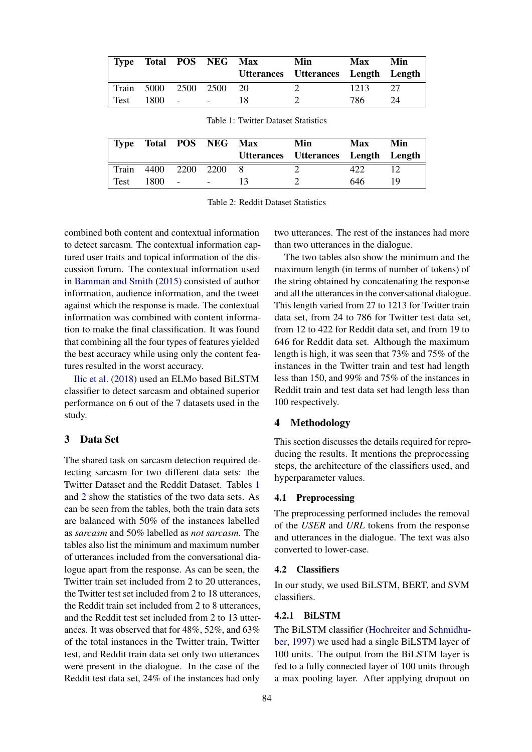<span id="page-1-2"></span>

| Type       |       |        | Total POS NEG Max |     | Min<br>Utterances Utterances Length Length | <b>Max</b> | Min |
|------------|-------|--------|-------------------|-----|--------------------------------------------|------------|-----|
| Train 5000 |       | 2500   | - 2500-           | -20 |                                            | 1213       | 27  |
| Test       | 1800. | $\sim$ | $\sim$            |     |                                            | 786        | 24  |

|  |  | Table 1: Twitter Dataset Statistics |
|--|--|-------------------------------------|
|  |  |                                     |

<span id="page-1-3"></span>

| <b>Type</b> |           |                          | Total POS NEG Max | Min                                 | Max | Min |
|-------------|-----------|--------------------------|-------------------|-------------------------------------|-----|-----|
|             |           |                          |                   | Utterances Utterances Length Length |     |     |
| Train       | 4400 2200 |                          | - 2200            |                                     |     |     |
| Test        | 1800.     | $\overline{\phantom{a}}$ | $\sim$ $\sim$     |                                     | 646 | 19  |

Table 2: Reddit Dataset Statistics

combined both content and contextual information to detect sarcasm. The contextual information captured user traits and topical information of the discussion forum. The contextual information used in [Bamman and Smith](#page-4-4) [\(2015\)](#page-4-4) consisted of author information, audience information, and the tweet against which the response is made. The contextual information was combined with content information to make the final classification. It was found that combining all the four types of features yielded the best accuracy while using only the content features resulted in the worst accuracy.

[Ilic et al.](#page-4-5) [\(2018\)](#page-4-5) used an ELMo based BiLSTM classifier to detect sarcasm and obtained superior performance on 6 out of the 7 datasets used in the study.

### <span id="page-1-0"></span>3 Data Set

The shared task on sarcasm detection required detecting sarcasm for two different data sets: the Twitter Dataset and the Reddit Dataset. Tables [1](#page-1-2) and [2](#page-1-3) show the statistics of the two data sets. As can be seen from the tables, both the train data sets are balanced with 50% of the instances labelled as *sarcasm* and 50% labelled as *not sarcasm*. The tables also list the minimum and maximum number of utterances included from the conversational dialogue apart from the response. As can be seen, the Twitter train set included from 2 to 20 utterances, the Twitter test set included from 2 to 18 utterances, the Reddit train set included from 2 to 8 utterances, and the Reddit test set included from 2 to 13 utterances. It was observed that for 48%, 52%, and 63% of the total instances in the Twitter train, Twitter test, and Reddit train data set only two utterances were present in the dialogue. In the case of the Reddit test data set, 24% of the instances had only

two utterances. The rest of the instances had more than two utterances in the dialogue.

The two tables also show the minimum and the maximum length (in terms of number of tokens) of the string obtained by concatenating the response and all the utterances in the conversational dialogue. This length varied from 27 to 1213 for Twitter train data set, from 24 to 786 for Twitter test data set, from 12 to 422 for Reddit data set, and from 19 to 646 for Reddit data set. Although the maximum length is high, it was seen that 73% and 75% of the instances in the Twitter train and test had length less than 150, and 99% and 75% of the instances in Reddit train and test data set had length less than 100 respectively.

### <span id="page-1-1"></span>4 Methodology

This section discusses the details required for reproducing the results. It mentions the preprocessing steps, the architecture of the classifiers used, and hyperparameter values.

#### 4.1 Preprocessing

The preprocessing performed includes the removal of the *USER* and *URL* tokens from the response and utterances in the dialogue. The text was also converted to lower-case.

### 4.2 Classifiers

In our study, we used BiLSTM, BERT, and SVM classifiers.

## 4.2.1 BiLSTM

The BiLSTM classifier [\(Hochreiter and Schmidhu](#page-4-6)[ber,](#page-4-6) [1997\)](#page-4-6) we used had a single BiLSTM layer of 100 units. The output from the BiLSTM layer is fed to a fully connected layer of 100 units through a max pooling layer. After applying dropout on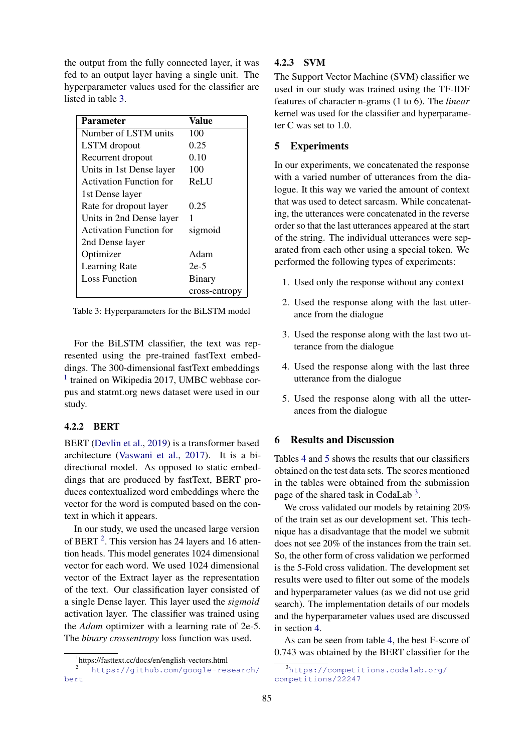the output from the fully connected layer, it was fed to an output layer having a single unit. The hyperparameter values used for the classifier are listed in table [3.](#page-2-1)

<span id="page-2-1"></span>

| <b>Parameter</b>               | Value         |
|--------------------------------|---------------|
| Number of LSTM units           | 100           |
| LSTM dropout                   | 0.25          |
| Recurrent dropout              | 0.10          |
| Units in 1st Dense layer       | 100           |
| <b>Activation Function for</b> | ReLU          |
| 1st Dense layer                |               |
| Rate for dropout layer         | 0.25          |
| Units in 2nd Dense layer       |               |
| <b>Activation Function for</b> | sigmoid       |
| 2nd Dense layer                |               |
| Optimizer                      | Adam          |
| <b>Learning Rate</b>           | $2e-5$        |
| <b>Loss Function</b>           | Binary        |
|                                | cross-entropy |

Table 3: Hyperparameters for the BiLSTM model

For the BiLSTM classifier, the text was represented using the pre-trained fastText embeddings. The 300-dimensional fastText embeddings <sup>[1](#page-2-2)</sup> trained on Wikipedia 2017, UMBC webbase corpus and statmt.org news dataset were used in our study.

### 4.2.2 BERT

BERT [\(Devlin et al.,](#page-4-7) [2019\)](#page-4-7) is a transformer based architecture [\(Vaswani et al.,](#page-4-8) [2017\)](#page-4-8). It is a bidirectional model. As opposed to static embeddings that are produced by fastText, BERT produces contextualized word embeddings where the vector for the word is computed based on the context in which it appears.

In our study, we used the uncased large version of BERT<sup>[2](#page-2-3)</sup>. This version has 24 layers and 16 attention heads. This model generates 1024 dimensional vector for each word. We used 1024 dimensional vector of the Extract layer as the representation of the text. Our classification layer consisted of a single Dense layer. This layer used the *sigmoid* activation layer. The classifier was trained using the *Adam* optimizer with a learning rate of 2e-5. The *binary crossentropy* loss function was used.

### 4.2.3 SVM

The Support Vector Machine (SVM) classifier we used in our study was trained using the TF-IDF features of character n-grams (1 to 6). The *linear* kernel was used for the classifier and hyperparameter C was set to 1.0.

### 5 Experiments

In our experiments, we concatenated the response with a varied number of utterances from the dialogue. It this way we varied the amount of context that was used to detect sarcasm. While concatenating, the utterances were concatenated in the reverse order so that the last utterances appeared at the start of the string. The individual utterances were separated from each other using a special token. We performed the following types of experiments:

- 1. Used only the response without any context
- 2. Used the response along with the last utterance from the dialogue
- 3. Used the response along with the last two utterance from the dialogue
- 4. Used the response along with the last three utterance from the dialogue
- 5. Used the response along with all the utterances from the dialogue

## <span id="page-2-0"></span>6 Results and Discussion

Tables [4](#page-3-0) and [5](#page-3-1) shows the results that our classifiers obtained on the test data sets. The scores mentioned in the tables were obtained from the submission page of the shared task in CodaLab<sup>[3](#page-2-4)</sup>.

We cross validated our models by retaining 20% of the train set as our development set. This technique has a disadvantage that the model we submit does not see 20% of the instances from the train set. So, the other form of cross validation we performed is the 5-Fold cross validation. The development set results were used to filter out some of the models and hyperparameter values (as we did not use grid search). The implementation details of our models and the hyperparameter values used are discussed in section [4.](#page-1-1)

As can be seen from table [4,](#page-3-0) the best F-score of 0.743 was obtained by the BERT classifier for the

<span id="page-2-3"></span><span id="page-2-2"></span><sup>1</sup> https://fasttext.cc/docs/en/english-vectors.html

<sup>2</sup> [https://github.com/google-research/](https://github.com/google-research/bert) [bert](https://github.com/google-research/bert)

<span id="page-2-4"></span><sup>3</sup>[https://competitions.codalab.org/](https://competitions.codalab.org/competitions/22247) [competitions/22247](https://competitions.codalab.org/competitions/22247)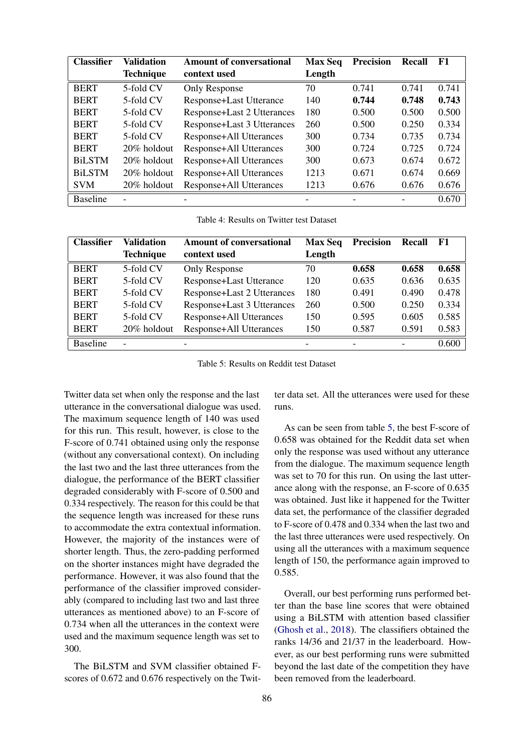<span id="page-3-0"></span>

| <b>Classifier</b> | <b>Validation</b> | <b>Amount of conversational</b> | <b>Max Seq</b> | <b>Precision</b> | <b>Recall</b> | F1    |
|-------------------|-------------------|---------------------------------|----------------|------------------|---------------|-------|
|                   | <b>Technique</b>  | context used                    | Length         |                  |               |       |
| <b>BERT</b>       | 5-fold CV         | Only Response                   | 70             | 0.741            | 0.741         | 0.741 |
| <b>BERT</b>       | 5-fold CV         | Response+Last Utterance         | 140            | 0.744            | 0.748         | 0.743 |
| <b>BERT</b>       | 5-fold CV         | Response+Last 2 Utterances      | 180            | 0.500            | 0.500         | 0.500 |
| <b>BERT</b>       | 5-fold CV         | Response+Last 3 Utterances      | 260            | 0.500            | 0.250         | 0.334 |
| <b>BERT</b>       | 5-fold CV         | <b>Response+All Utterances</b>  | 300            | 0.734            | 0.735         | 0.734 |
| <b>BERT</b>       | 20% holdout       | <b>Response+All Utterances</b>  | 300            | 0.724            | 0.725         | 0.724 |
| <b>BiLSTM</b>     | 20% holdout       | <b>Response+All Utterances</b>  | 300            | 0.673            | 0.674         | 0.672 |
| <b>BiLSTM</b>     | 20% holdout       | <b>Response+All Utterances</b>  | 1213           | 0.671            | 0.674         | 0.669 |
| <b>SVM</b>        | 20% holdout       | <b>Response+All Utterances</b>  | 1213           | 0.676            | 0.676         | 0.676 |
| <b>Baseline</b>   |                   |                                 |                |                  |               | 0.670 |

Table 4: Results on Twitter test Dataset

<span id="page-3-1"></span>

| <b>Classifier</b> | Validation               | <b>Amount of conversational</b> | <b>Max Seq</b> | <b>Precision</b> | Recall | <b>F1</b> |
|-------------------|--------------------------|---------------------------------|----------------|------------------|--------|-----------|
|                   | <b>Technique</b>         | context used                    | Length         |                  |        |           |
| <b>BERT</b>       | 5-fold CV                | Only Response                   | 70             | 0.658            | 0.658  | 0.658     |
| <b>BERT</b>       | 5-fold CV                | <b>Response+Last Utterance</b>  | 120            | 0.635            | 0.636  | 0.635     |
| <b>BERT</b>       | 5-fold CV                | Response+Last 2 Utterances      | 180            | 0.491            | 0.490  | 0.478     |
| <b>BERT</b>       | 5-fold CV                | Response+Last 3 Utterances      | 260            | 0.500            | 0.250  | 0.334     |
| <b>BERT</b>       | 5-fold CV                | <b>Response+All Utterances</b>  | 150            | 0.595            | 0.605  | 0.585     |
| <b>BERT</b>       | 20% holdout              | <b>Response+All Utterances</b>  | 150            | 0.587            | 0.591  | 0.583     |
| <b>Baseline</b>   | $\overline{\phantom{0}}$ |                                 |                |                  |        | 0.600     |

Table 5: Results on Reddit test Dataset

Twitter data set when only the response and the last utterance in the conversational dialogue was used. The maximum sequence length of 140 was used for this run. This result, however, is close to the F-score of 0.741 obtained using only the response (without any conversational context). On including the last two and the last three utterances from the dialogue, the performance of the BERT classifier degraded considerably with F-score of 0.500 and 0.334 respectively. The reason for this could be that the sequence length was increased for these runs to accommodate the extra contextual information. However, the majority of the instances were of shorter length. Thus, the zero-padding performed on the shorter instances might have degraded the performance. However, it was also found that the performance of the classifier improved considerably (compared to including last two and last three utterances as mentioned above) to an F-score of 0.734 when all the utterances in the context were used and the maximum sequence length was set to 300.

The BiLSTM and SVM classifier obtained Fscores of 0.672 and 0.676 respectively on the Twitter data set. All the utterances were used for these runs.

As can be seen from table [5,](#page-3-1) the best F-score of 0.658 was obtained for the Reddit data set when only the response was used without any utterance from the dialogue. The maximum sequence length was set to 70 for this run. On using the last utterance along with the response, an F-score of 0.635 was obtained. Just like it happened for the Twitter data set, the performance of the classifier degraded to F-score of 0.478 and 0.334 when the last two and the last three utterances were used respectively. On using all the utterances with a maximum sequence length of 150, the performance again improved to 0.585.

Overall, our best performing runs performed better than the base line scores that were obtained using a BiLSTM with attention based classifier [\(Ghosh et al.,](#page-4-9) [2018\)](#page-4-9). The classifiers obtained the ranks 14/36 and 21/37 in the leaderboard. However, as our best performing runs were submitted beyond the last date of the competition they have been removed from the leaderboard.